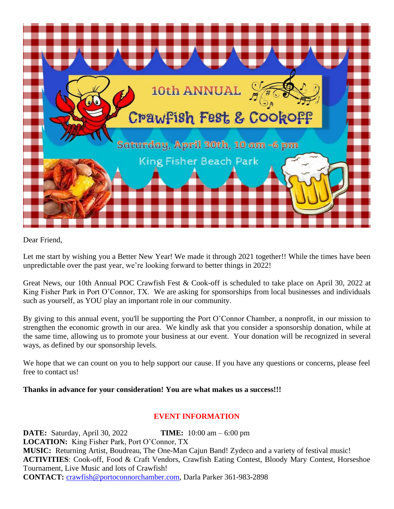

Dear Friend,

Let me start by wishing you a Better New Year! We made it through 2021 together!! While the times have been unpredictable over the past year, we're looking forward to better things in 2022!

Great News, our 10th Annual POC Crawfish Fest & Cook-off is scheduled to take place on April 30, 2022 at King Fisher Park in Port O'Connor, TX. We are asking for sponsorships from local businesses and individuals such as yourself, as YOU play an important role in our community.

By giving to this annual event, you'll be supporting the Port O'Connor Chamber, a nonprofit, in our mission to strengthen the economic growth in our area. We kindly ask that you consider a sponsorship donation, while at the same time, allowing us to promote your business at our event. Your donation will be recognized in several ways, as defined by our sponsorship levels.

We hope that we can count on you to help support our cause. If you have any questions or concerns, please feel free to contact us!

#### **Thanks in advance for your consideration! You are what makes us a success!!!**

#### **EVENT INFORMATION**

**DATE:** Saturday, April 30, 2022 **TIME:** 10:00 am – 6:00 pm **LOCATION:** King Fisher Park, Port O'Connor, TX **MUSIC:** Returning Artist, Boudreau, The One-Man Cajun Band! Zydeco and a variety of festival music! **ACTIVITIES**: Cook-off, Food & Craft Vendors, Crawfish Eating Contest, Bloody Mary Contest, Horseshoe Tournament, Live Music and lots of Crawfish! **CONTACT:** [crawfish@portoconnorchamber.com,](mailto:crawfish@portoconnorchamber.com) Darla Parker 361-983-2898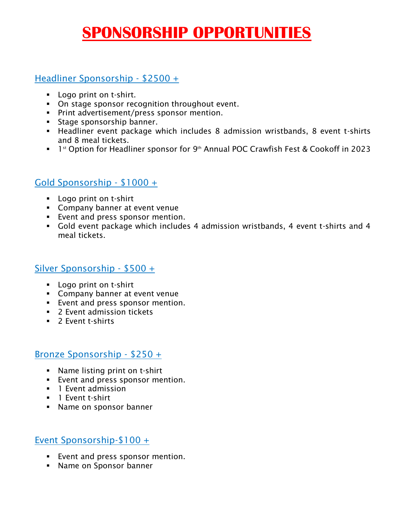# **SPONSORSHIP OPPORTUNITIES**

### Headliner Sponsorship - \$2500 +

- Logo print on t-shirt.
- On stage sponsor recognition throughout event.
- **•** Print advertisement/press sponsor mention.
- Stage sponsorship banner.
- Headliner event package which includes 8 admission wristbands, 8 event t-shirts and 8 meal tickets.
- 1<sup>st</sup> Option for Headliner sponsor for 9<sup>th</sup> Annual POC Crawfish Fest & Cookoff in 2023

## Gold Sponsorship - \$1000 +

- Logo print on t-shirt
- Company banner at event venue
- **Exent and press sponsor mention.**
- Gold event package which includes 4 admission wristbands, 4 event t-shirts and 4 meal tickets.

#### Silver Sponsorship - \$500 +

- Logo print on t-shirt
- **EXECOMPANY banner at event venue**
- Event and press sponsor mention.
- 2 Event admission tickets
- 2 Event t-shirts

#### Bronze Sponsorship - \$250 +

- Name listing print on t-shirt
- Event and press sponsor mention.
- 1 Fyent admission
- **■** 1 Event t-shirt
- Name on sponsor banner

#### Event Sponsorship-\$100 +

- Event and press sponsor mention.
- Name on Sponsor banner